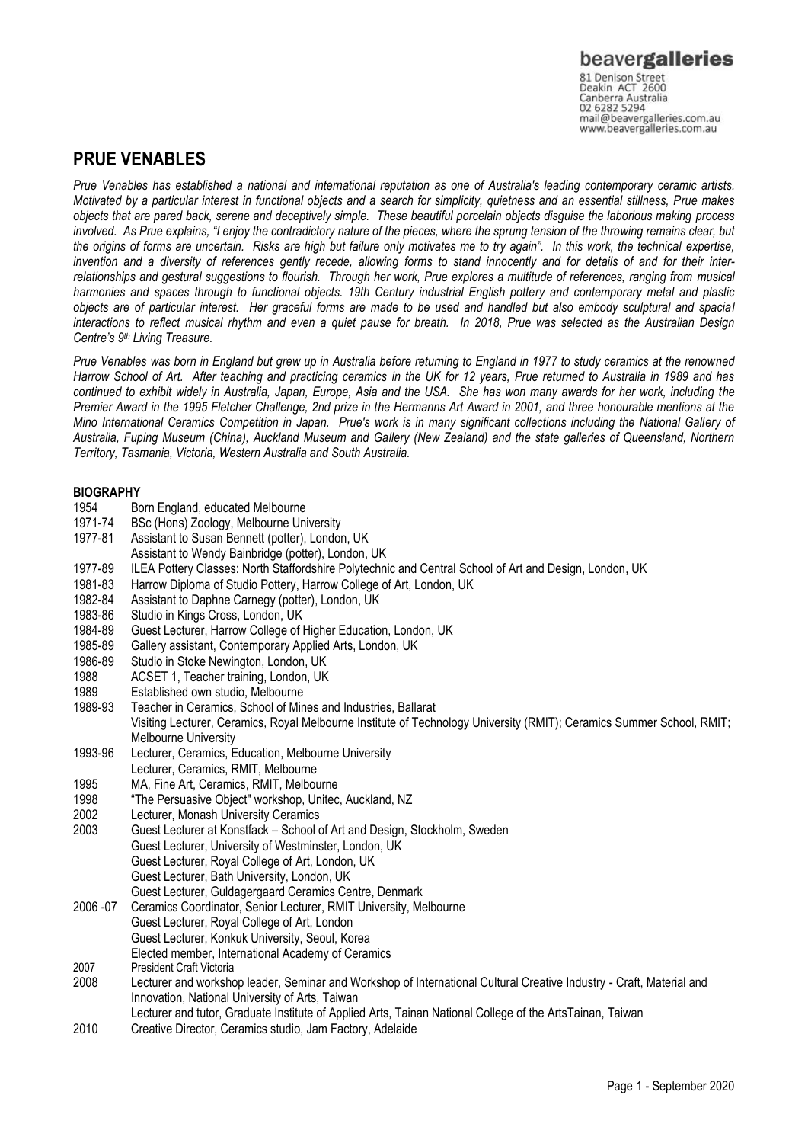# **PRUE VENABLES**

*Prue Venables has established a national and international reputation as one of Australia's leading contemporary ceramic artists. Motivated by a particular interest in functional objects and a search for simplicity, quietness and an essential stillness, Prue makes objects that are pared back, serene and deceptively simple. These beautiful porcelain objects disguise the laborious making process involved.* As Prue explains, "I enjoy the contradictory nature of the pieces, where the sprung tension of the throwing remains clear, but *the origins of forms are uncertain. Risks are high but failure only motivates me to try again". In this work, the technical expertise, invention and a diversity of references gently recede, allowing forms to stand innocently and for details of and for their interrelationships and gestural suggestions to flourish. Through her work, Prue explores a multitude of references, ranging from musical harmonies and spaces through to functional objects. 19th Century industrial English pottery and contemporary metal and plastic objects are of particular interest. Her graceful forms are made to be used and handled but also embody sculptural and spacial interactions to reflect musical rhythm and even a quiet pause for breath. In 2018, Prue was selected as the Australian Design Centre's 9 th Living Treasure.*

*Prue Venables was born in England but grew up in Australia before returning to England in 1977 to study ceramics at the renowned Harrow School of Art. After teaching and practicing ceramics in the UK for 12 years, Prue returned to Australia in 1989 and has continued to exhibit widely in Australia, Japan, Europe, Asia and the USA. She has won many awards for her work, including the Premier Award in the 1995 Fletcher Challenge, 2nd prize in the Hermanns Art Award in 2001, and three honourable mentions at the Mino International Ceramics Competition in Japan. Prue's work is in many significant collections including the National Gallery of Australia, Fuping Museum (China), Auckland Museum and Gallery (New Zealand) and the state galleries of Queensland, Northern Territory, Tasmania, Victoria, Western Australia and South Australia.*

## **BIOGRAPHY**

- 1954 Born England, educated Melbourne
- 1971-74 BSc (Hons) Zoology, Melbourne University
- 1977-81 Assistant to Susan Bennett (potter), London, UK
- Assistant to Wendy Bainbridge (potter), London, UK 1977-89 ILEA Pottery Classes: North Staffordshire Polytechnic and Central School of Art and Design, London, UK
- 
- 1981-83 Harrow Diploma of Studio Pottery, Harrow College of Art, London, UK<br>1982-84 Assistant to Daphne Carnegy (potter), London, UK 1982-84 Assistant to Daphne Carnegy (potter), London, UK
- 
- 1983-86 Studio in Kings Cross, London, UK<br>1984-89 Guest Lecturer, Harrow College of 1984-89 Guest Lecturer, Harrow College of Higher Education, London, UK<br>1985-89 Gallery assistant, Contemporary Applied Arts, London, UK
- 1985-89 Gallery assistant, Contemporary Applied Arts, London, UK
- 1986-89 Studio in Stoke Newington, London, UK
- ACSET 1, Teacher training, London, UK
- 1989 Established own studio, Melbourne
- 1989-93 Teacher in Ceramics, School of Mines and Industries, Ballarat
	- Visiting Lecturer, Ceramics, Royal Melbourne Institute of Technology University (RMIT); Ceramics Summer School, RMIT; Melbourne University
- 1993-96 Lecturer, Ceramics, Education, Melbourne University
- Lecturer, Ceramics, RMIT, Melbourne 1995 MA, Fine Art, Ceramics, RMIT, Melbourne
- 1998 "The Persuasive Object" workshop, Unitec, Auckland, NZ
- 2002 Lecturer, Monash University Ceramics
- 2003 Guest Lecturer at Konstfack School of Art and Design, Stockholm, Sweden
- Guest Lecturer, University of Westminster, London, UK
	- Guest Lecturer, Royal College of Art, London, UK
	- Guest Lecturer, Bath University, London, UK
	- Guest Lecturer, Guldagergaard Ceramics Centre, Denmark
- 2006 -07 Ceramics Coordinator, Senior Lecturer, RMIT University, Melbourne
	- Guest Lecturer, Royal College of Art, London
	- Guest Lecturer, Konkuk University, Seoul, Korea
- Elected member, International Academy of Ceramics
- 2007 President Craft Victoria
- 2008 Lecturer and workshop leader, Seminar and Workshop of International Cultural Creative Industry Craft, Material and Innovation, National University of Arts, Taiwan
- Lecturer and tutor, Graduate Institute of Applied Arts, Tainan National College of the ArtsTainan, Taiwan
- 2010 Creative Director, Ceramics studio, Jam Factory, Adelaide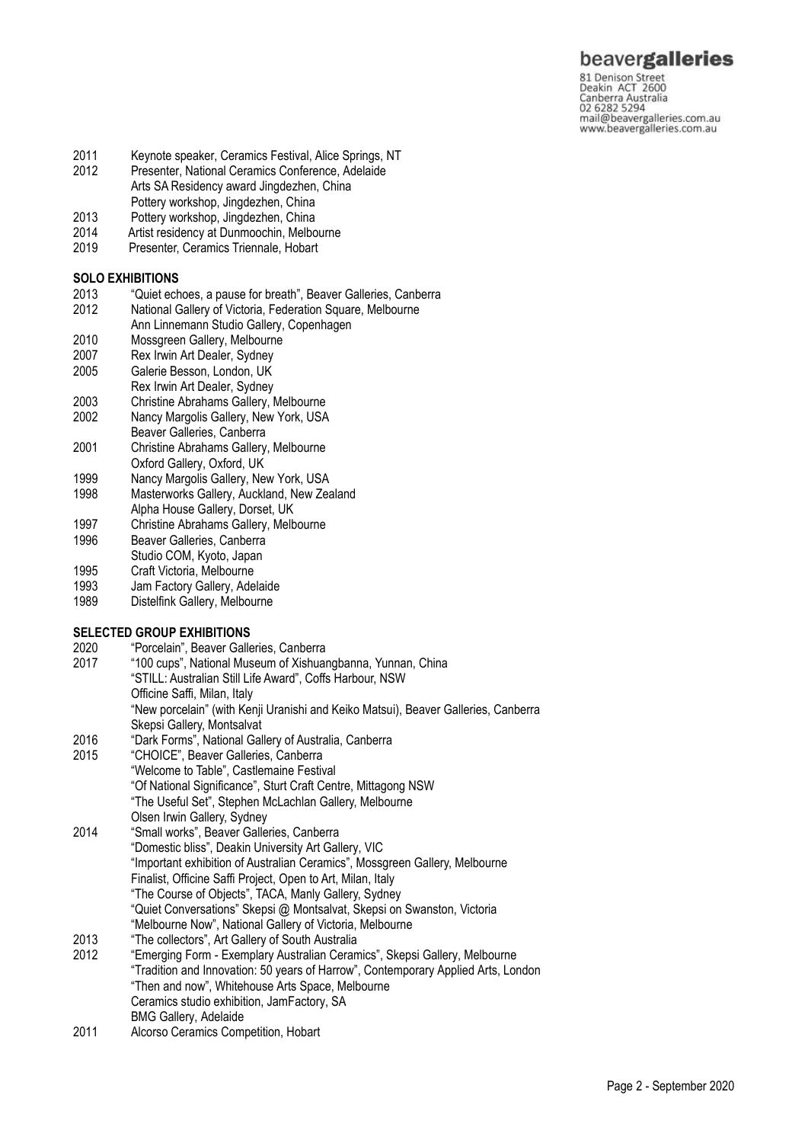# beavergalleries 81 Denison Street<br>Deakin ACT 2600

Canberra Australia 02 6282 5294 mail@beavergalleries.com.au www.beavergalleries.com.au

- 2011 Keynote speaker, Ceramics Festival, Alice Springs, NT<br>2012 Presenter, National Ceramics Conference, Adelaide
- Presenter, National Ceramics Conference, Adelaide Arts SA Residency award Jingdezhen, China
- Pottery workshop, Jingdezhen, China
- 2013 Pottery workshop, Jingdezhen, China<br>2014 Artist residency at Dunmoochin. Melbo
- 2014 Artist residency at Dunmoochin, Melbourne<br>2019 Presenter, Ceramics Triennale, Hobart
- Presenter, Ceramics Triennale, Hobart

## **SOLO EXHIBITIONS**

- 2013 "Quiet echoes, a pause for breath", Beaver Galleries, Canberra<br>2012 – National Gallery of Victoria, Federation Square, Melbourne
- National Gallery of Victoria, Federation Square, Melbourne
- Ann Linnemann Studio Gallery, Copenhagen
- 2010 Mossgreen Gallery, Melbourne<br>2007 Rex Irwin Art Dealer, Sydney
- 2007 Rex Irwin Art Dealer, Sydney<br>2005 Galerie Besson, London, UK
- Galerie Besson, London, UK
- Rex Irwin Art Dealer, Sydney
- 2003 Christine Abrahams Gallery, Melbourne 2002 Nancy Margolis Gallery, New York, USA
- Beaver Galleries, Canberra
- 2001 Christine Abrahams Gallery, Melbourne Oxford Gallery, Oxford, UK
- 1999 Nancy Margolis Gallery, New York, USA
- 1998 Masterworks Gallery, Auckland, New Zealand
- Alpha House Gallery, Dorset, UK
- 1997 Christine Abrahams Gallery, Melbourne
- 1996 Beaver Galleries, Canberra
- Studio COM, Kyoto, Japan
- 1995 Craft Victoria, Melbourne
- 1993 Jam Factory Gallery, Adelaide
- 1989 Distelfink Gallery, Melbourne

# **SELECTED GROUP EXHIBITIONS**<br>2020 **Porcelain**", Beaver Galle

- 2020 "Porcelain", Beaver Galleries, Canberra "100 cups", National Museum of Xishuangbanna, Yunnan, China "STILL: Australian Still Life Award", Coffs Harbour, NSW Officine Saffi, Milan, Italy "New porcelain" (with Kenji Uranishi and Keiko Matsui), Beaver Galleries, Canberra Skepsi Gallery, Montsalvat 2016 "Dark Forms", National Gallery of Australia, Canberra 2015 "CHOICE", Beaver Galleries, Canberra "Welcome to Table", Castlemaine Festival "Of National Significance", Sturt Craft Centre, Mittagong NSW "The Useful Set", Stephen McLachlan Gallery, Melbourne Olsen Irwin Gallery, Sydney 2014 "Small works", Beaver Galleries, Canberra
- "Domestic bliss", Deakin University Art Gallery, VIC "Important exhibition of Australian Ceramics", Mossgreen Gallery, Melbourne Finalist, Officine Saffi Project, Open to Art, Milan, Italy "The Course of Objects", TACA, Manly Gallery, Sydney "Quiet Conversations" Skepsi @ Montsalvat, Skepsi on Swanston, Victoria "Melbourne Now", National Gallery of Victoria, Melbourne
- 2013 "The collectors", Art Gallery of South Australia
- 2012 "Emerging Form Exemplary Australian Ceramics", Skepsi Gallery, Melbourne "Tradition and Innovation: 50 years of Harrow", Contemporary Applied Arts, London "Then and now", Whitehouse Arts Space, Melbourne Ceramics studio exhibition, JamFactory, SA BMG Gallery, Adelaide
- 2011 Alcorso Ceramics Competition, Hobart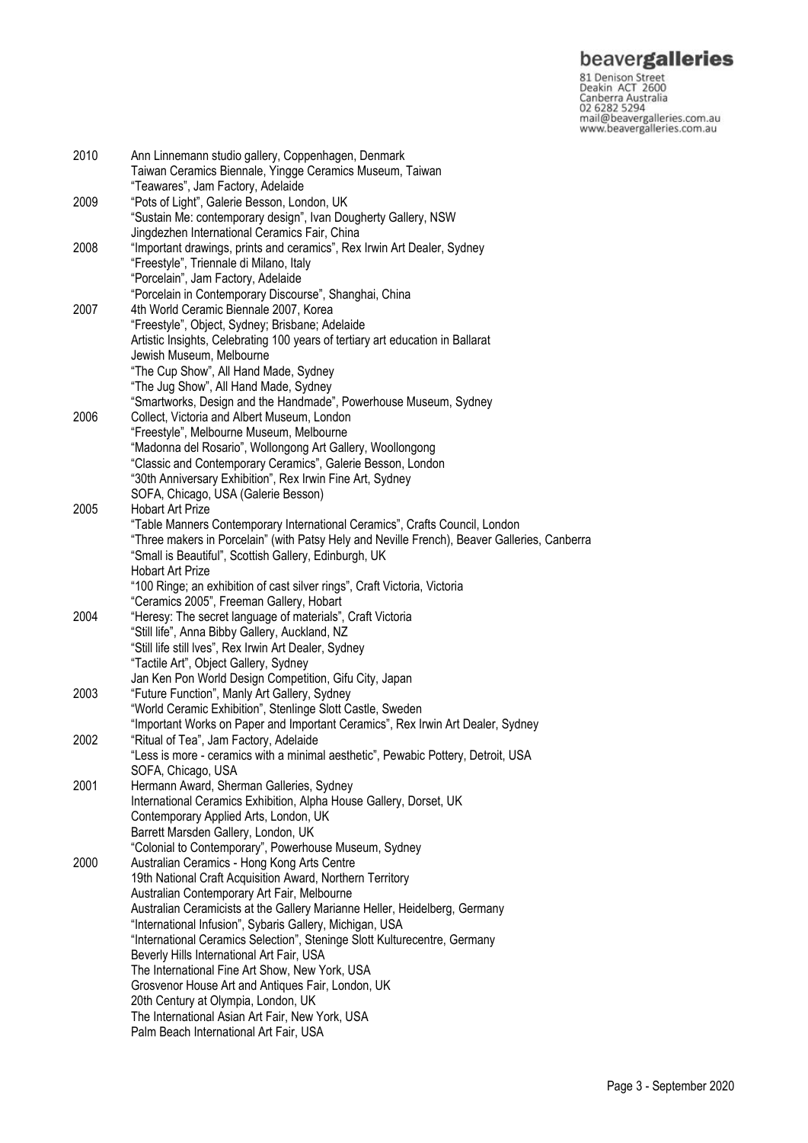**beavergalleries**<br> **81 Denison Street**<br>
Deakin ACT 2600<br>
Canberra Australia<br>
02 6282 5294<br>
mail@beavergalleries.com.au<br>
www.beavergalleries.com.au

| 2010 | Ann Linnemann studio gallery, Coppenhagen, Denmark                                           |
|------|----------------------------------------------------------------------------------------------|
|      | Taiwan Ceramics Biennale, Yingge Ceramics Museum, Taiwan                                     |
|      | "Teawares", Jam Factory, Adelaide                                                            |
| 2009 | "Pots of Light", Galerie Besson, London, UK                                                  |
|      | "Sustain Me: contemporary design", Ivan Dougherty Gallery, NSW                               |
|      | Jingdezhen International Ceramics Fair, China                                                |
| 2008 | "Important drawings, prints and ceramics", Rex Irwin Art Dealer, Sydney                      |
|      | "Freestyle", Triennale di Milano, Italy                                                      |
|      | "Porcelain", Jam Factory, Adelaide                                                           |
|      | "Porcelain in Contemporary Discourse", Shanghai, China                                       |
| 2007 | 4th World Ceramic Biennale 2007, Korea                                                       |
|      | "Freestyle", Object, Sydney; Brisbane; Adelaide                                              |
|      | Artistic Insights, Celebrating 100 years of tertiary art education in Ballarat               |
|      | Jewish Museum, Melbourne                                                                     |
|      | "The Cup Show", All Hand Made, Sydney                                                        |
|      | "The Jug Show", All Hand Made, Sydney                                                        |
|      | "Smartworks, Design and the Handmade", Powerhouse Museum, Sydney                             |
| 2006 | Collect, Victoria and Albert Museum, London                                                  |
|      | "Freestyle", Melbourne Museum, Melbourne                                                     |
|      | "Madonna del Rosario", Wollongong Art Gallery, Woollongong                                   |
|      | "Classic and Contemporary Ceramics", Galerie Besson, London                                  |
|      | "30th Anniversary Exhibition", Rex Irwin Fine Art, Sydney                                    |
|      | SOFA, Chicago, USA (Galerie Besson)                                                          |
| 2005 | <b>Hobart Art Prize</b>                                                                      |
|      | "Table Manners Contemporary International Ceramics", Crafts Council, London                  |
|      | "Three makers in Porcelain" (with Patsy Hely and Neville French), Beaver Galleries, Canberra |
|      | "Small is Beautiful", Scottish Gallery, Edinburgh, UK                                        |
|      | <b>Hobart Art Prize</b>                                                                      |
|      | "100 Ringe; an exhibition of cast silver rings", Craft Victoria, Victoria                    |
|      | "Ceramics 2005", Freeman Gallery, Hobart                                                     |
| 2004 | "Heresy: The secret language of materials", Craft Victoria                                   |
|      | "Still life", Anna Bibby Gallery, Auckland, NZ                                               |
|      | "Still life still Ives", Rex Irwin Art Dealer, Sydney                                        |
|      | "Tactile Art", Object Gallery, Sydney                                                        |
|      | Jan Ken Pon World Design Competition, Gifu City, Japan                                       |
| 2003 | "Future Function", Manly Art Gallery, Sydney                                                 |
|      | "World Ceramic Exhibition", Stenlinge Slott Castle, Sweden                                   |
|      | "Important Works on Paper and Important Ceramics", Rex Irwin Art Dealer, Sydney              |
| 2002 | "Ritual of Tea", Jam Factory, Adelaide                                                       |
|      | "Less is more - ceramics with a minimal aesthetic", Pewabic Pottery, Detroit, USA            |
|      | SOFA, Chicago, USA                                                                           |
| 2001 | Hermann Award, Sherman Galleries, Sydney                                                     |
|      | International Ceramics Exhibition, Alpha House Gallery, Dorset, UK                           |
|      | Contemporary Applied Arts, London, UK                                                        |
|      | Barrett Marsden Gallery, London, UK                                                          |
|      | "Colonial to Contemporary", Powerhouse Museum, Sydney                                        |
| 2000 | Australian Ceramics - Hong Kong Arts Centre                                                  |
|      | 19th National Craft Acquisition Award, Northern Territory                                    |
|      | Australian Contemporary Art Fair, Melbourne                                                  |
|      | Australian Ceramicists at the Gallery Marianne Heller, Heidelberg, Germany                   |
|      | "International Infusion", Sybaris Gallery, Michigan, USA                                     |
|      | "International Ceramics Selection", Steninge Slott Kulturecentre, Germany                    |
|      | Beverly Hills International Art Fair, USA                                                    |
|      | The International Fine Art Show, New York, USA                                               |
|      | Grosvenor House Art and Antiques Fair, London, UK                                            |
|      | 20th Century at Olympia, London, UK                                                          |
|      | The International Asian Art Fair, New York, USA                                              |
|      | Palm Beach International Art Fair, USA                                                       |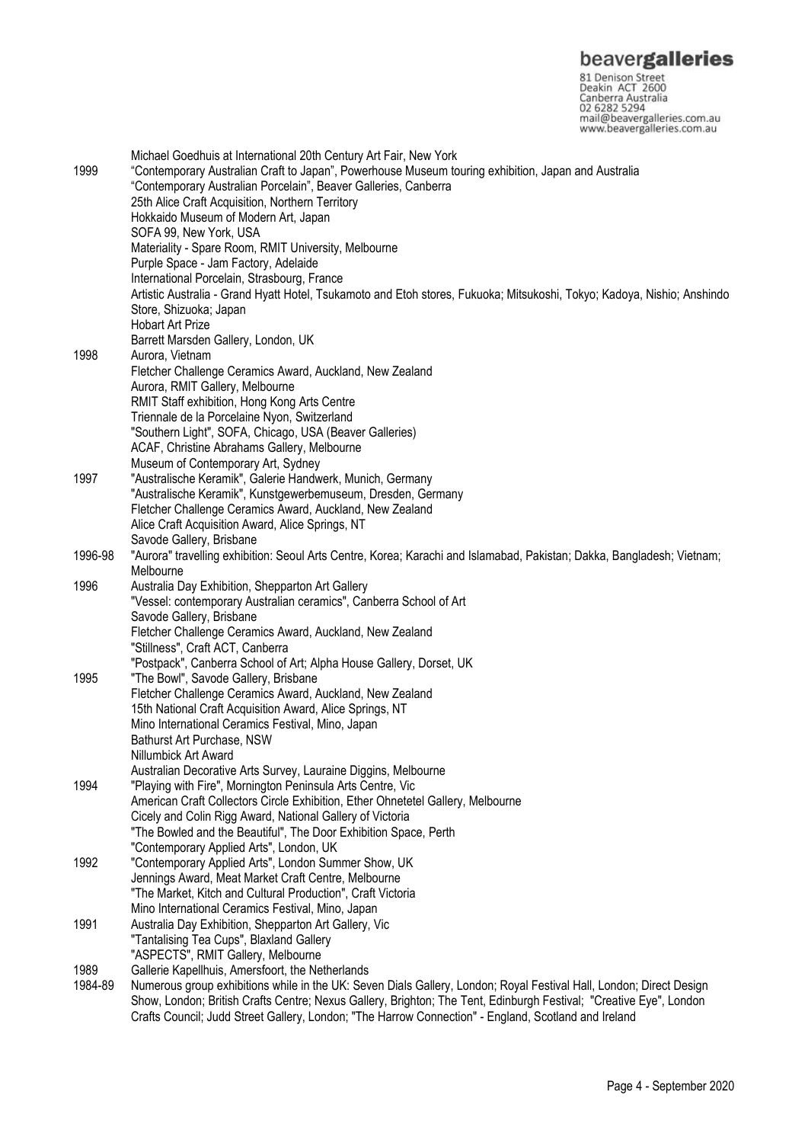**beavergalleries**<br> **81 Denison Street**<br>
Deakin ACT 2600<br>
Canberra Australia<br>
02 6282 5294<br>
mail@beavergalleries.com.au<br>
www.beavergalleries.com.au

|         | Michael Goedhuis at International 20th Century Art Fair, New York                                                       |
|---------|-------------------------------------------------------------------------------------------------------------------------|
| 1999    | "Contemporary Australian Craft to Japan", Powerhouse Museum touring exhibition, Japan and Australia                     |
|         | "Contemporary Australian Porcelain", Beaver Galleries, Canberra                                                         |
|         | 25th Alice Craft Acquisition, Northern Territory                                                                        |
|         | Hokkaido Museum of Modern Art, Japan                                                                                    |
|         | SOFA 99, New York, USA                                                                                                  |
|         | Materiality - Spare Room, RMIT University, Melbourne                                                                    |
|         | Purple Space - Jam Factory, Adelaide                                                                                    |
|         |                                                                                                                         |
|         | International Porcelain, Strasbourg, France                                                                             |
|         | Artistic Australia - Grand Hyatt Hotel, Tsukamoto and Etoh stores, Fukuoka; Mitsukoshi, Tokyo; Kadoya, Nishio; Anshindo |
|         | Store, Shizuoka; Japan                                                                                                  |
|         | <b>Hobart Art Prize</b>                                                                                                 |
|         | Barrett Marsden Gallery, London, UK                                                                                     |
| 1998    | Aurora, Vietnam                                                                                                         |
|         | Fletcher Challenge Ceramics Award, Auckland, New Zealand                                                                |
|         | Aurora, RMIT Gallery, Melbourne                                                                                         |
|         | RMIT Staff exhibition, Hong Kong Arts Centre                                                                            |
|         | Triennale de la Porcelaine Nyon, Switzerland                                                                            |
|         | "Southern Light", SOFA, Chicago, USA (Beaver Galleries)                                                                 |
|         | ACAF, Christine Abrahams Gallery, Melbourne                                                                             |
|         | Museum of Contemporary Art, Sydney                                                                                      |
| 1997    | "Australische Keramik", Galerie Handwerk, Munich, Germany                                                               |
|         | "Australische Keramik", Kunstgewerbemuseum, Dresden, Germany                                                            |
|         | Fletcher Challenge Ceramics Award, Auckland, New Zealand                                                                |
|         | Alice Craft Acquisition Award, Alice Springs, NT                                                                        |
|         | Savode Gallery, Brisbane                                                                                                |
| 1996-98 | "Aurora" travelling exhibition: Seoul Arts Centre, Korea; Karachi and Islamabad, Pakistan; Dakka, Bangladesh; Vietnam;  |
|         | Melbourne                                                                                                               |
| 1996    | Australia Day Exhibition, Shepparton Art Gallery                                                                        |
|         | "Vessel: contemporary Australian ceramics", Canberra School of Art                                                      |
|         | Savode Gallery, Brisbane                                                                                                |
|         | Fletcher Challenge Ceramics Award, Auckland, New Zealand                                                                |
|         | "Stillness", Craft ACT, Canberra                                                                                        |
|         | "Postpack", Canberra School of Art; Alpha House Gallery, Dorset, UK                                                     |
| 1995    | "The Bowl", Savode Gallery, Brisbane                                                                                    |
|         | Fletcher Challenge Ceramics Award, Auckland, New Zealand                                                                |
|         | 15th National Craft Acquisition Award, Alice Springs, NT                                                                |
|         | Mino International Ceramics Festival, Mino, Japan                                                                       |
|         | Bathurst Art Purchase, NSW                                                                                              |
|         | Nillumbick Art Award                                                                                                    |
|         |                                                                                                                         |
|         | Australian Decorative Arts Survey, Lauraine Diggins, Melbourne                                                          |
| 1994    | "Playing with Fire", Mornington Peninsula Arts Centre, Vic                                                              |
|         | American Craft Collectors Circle Exhibition, Ether Ohnetetel Gallery, Melbourne                                         |
|         | Cicely and Colin Rigg Award, National Gallery of Victoria                                                               |
|         | "The Bowled and the Beautiful", The Door Exhibition Space, Perth                                                        |
|         | "Contemporary Applied Arts", London, UK                                                                                 |
| 1992    | "Contemporary Applied Arts", London Summer Show, UK                                                                     |
|         | Jennings Award, Meat Market Craft Centre, Melbourne                                                                     |
|         | "The Market, Kitch and Cultural Production", Craft Victoria                                                             |
|         | Mino International Ceramics Festival, Mino, Japan                                                                       |
| 1991    | Australia Day Exhibition, Shepparton Art Gallery, Vic                                                                   |
|         | "Tantalising Tea Cups", Blaxland Gallery                                                                                |
|         | "ASPECTS", RMIT Gallery, Melbourne                                                                                      |
| 1989    | Gallerie Kapellhuis, Amersfoort, the Netherlands                                                                        |
| 1984-89 | Numerous group exhibitions while in the UK: Seven Dials Gallery, London; Royal Festival Hall, London; Direct Design     |
|         | Show, London; British Crafts Centre; Nexus Gallery, Brighton; The Tent, Edinburgh Festival; "Creative Eye", London      |
|         | Crafts Council; Judd Street Gallery, London; "The Harrow Connection" - England, Scotland and Ireland                    |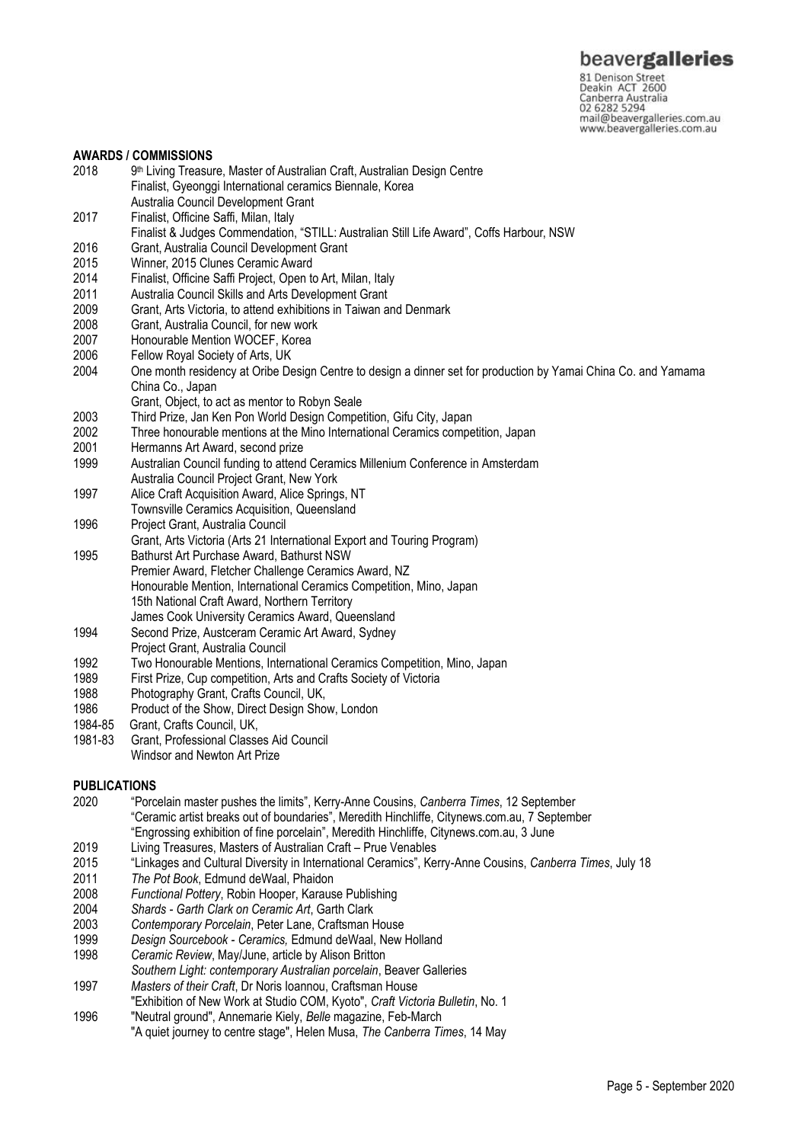81 Denison Street<br>Deakin ACT 2600 Canberra Australia 02 6282 5294 mail@beavergalleries.com.au www.beavergalleries.com.au

### **AWARDS / COMMISSIONS**

- 2018 9<sup>th</sup> Living Treasure, Master of Australian Craft, Australian Design Centre Finalist, Gyeonggi International ceramics Biennale, Korea Australia Council Development Grant 2017 Finalist, Officine Saffi, Milan, Italy Finalist & Judges Commendation, "STILL: Australian Still Life Award", Coffs Harbour, NSW 2016 Grant, Australia Council Development Grant<br>2015 Winner 2015 Clunes Ceramic Award 2015 Winner, 2015 Clunes Ceramic Award Finalist, Officine Saffi Project, Open to Art, Milan, Italy 2011 Australia Council Skills and Arts Development Grant 2009 Grant, Arts Victoria, to attend exhibitions in Taiwan and Denmark<br>2008 Grant, Australia Council, for new work 2008 Grant, Australia Council, for new work<br>2007 Honourable Mention WOCEF, Korea 2007 Honourable Mention WOCEF, Korea<br>2006 Fellow Royal Society of Arts. UK 2006 Fellow Royal Society of Arts, UK<br>2004 One month residency at Oribe De 2004 One month residency at Oribe Design Centre to design a dinner set for production by Yamai China Co. and Yamama China Co., Japan Grant, Object, to act as mentor to Robyn Seale 2003 Third Prize, Jan Ken Pon World Design Competition, Gifu City, Japan 2002 Three honourable mentions at the Mino International Ceramics competition, Japan 2001 Hermanns Art Award, second prize 1999 Australian Council funding to attend Ceramics Millenium Conference in Amsterdam Australia Council Project Grant, New York 1997 Alice Craft Acquisition Award, Alice Springs, NT Townsville Ceramics Acquisition, Queensland 1996 Project Grant, Australia Council Grant, Arts Victoria (Arts 21 International Export and Touring Program) 1995 Bathurst Art Purchase Award, Bathurst NSW Premier Award, Fletcher Challenge Ceramics Award, NZ Honourable Mention, International Ceramics Competition, Mino, Japan 15th National Craft Award, Northern Territory James Cook University Ceramics Award, Queensland 1994 Second Prize, Austceram Ceramic Art Award, Sydney Project Grant, Australia Council 1992 Two Honourable Mentions, International Ceramics Competition, Mino, Japan<br>1989 First Prize, Cup competition, Arts and Crafts Society of Victoria 1989 First Prize, Cup competition, Arts and Crafts Society of Victoria<br>1988 – Photography Grant, Crafts Council UK 1988 Photography Grant, Crafts Council, UK,<br>1986 Product of the Show Direct Design Sho Product of the Show, Direct Design Show, London 1984-85 Grant, Crafts Council, UK, 1981-83 Grant, Professional Classes Aid Council Windsor and Newton Art Prize **PUBLICATIONS** 2020 "Porcelain master pushes the limits", Kerry-Anne Cousins, *Canberra Times*, 12 September "Ceramic artist breaks out of boundaries", Meredith Hinchliffe, Citynews.com.au, 7 September "Engrossing exhibition of fine porcelain", Meredith Hinchliffe, Citynews.com.au, 3 June 2019 Living Treasures, Masters of Australian Craft – Prue Venables 2015 "Linkages and Cultural Diversity in International Ceramics", Kerry-Anne Cousins, *Canberra Times*, July 18 2011 *The Pot Book*, Edmund deWaal, Phaidon 2008 *Functional Pottery*, Robin Hooper, Karause Publishing 2004 *Shards - Garth Clark on Ceramic Art*, Garth Clark 2003 *Contemporary Porcelain*, Peter Lane, Craftsman House 1999 *Design Sourcebook - Ceramics,* Edmund deWaal, New Holland 1998 *Ceramic Review*, May/June, article by Alison Britton
- *Southern Light: contemporary Australian porcelain*, Beaver Galleries
- 1997 *Masters of their Craft*, Dr Noris Ioannou, Craftsman House
- "Exhibition of New Work at Studio COM, Kyoto", *Craft Victoria Bulletin*, No. 1
- 1996 "Neutral ground", Annemarie Kiely, *Belle* magazine, Feb-March "A quiet journey to centre stage", Helen Musa, *The Canberra Times*, 14 May